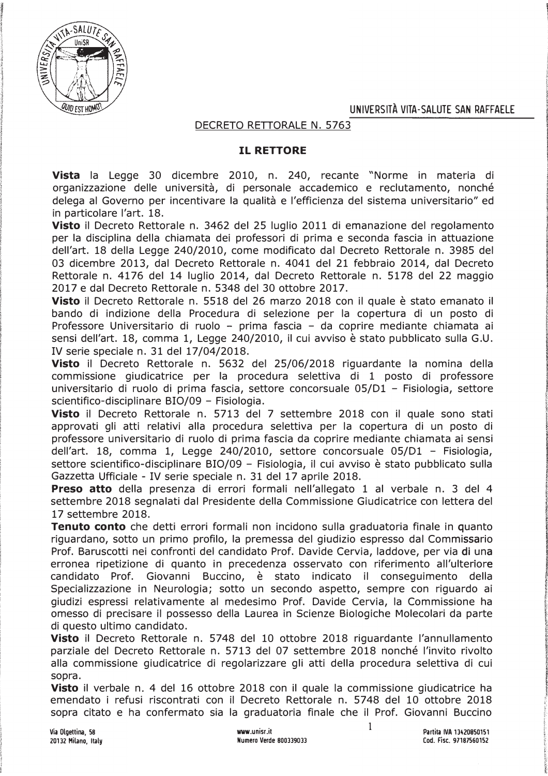UNIVERSITA VITA-SALUTE SAN RAFFAELE



DECRETO RETTORALE N. 5763

## **IL RETTORE**

**Vista** la Legge 30 dicembre 2010, n. 240, recante "Norme in materia di organizzazione delle università, di personale accademico e reclutamento, nonché delega al Governo per incentivare la qualità e l'efficienza del sistema universitario" ed in particolare l'art. 18.

Visto il Decreto Rettorale n. 3462 del 25 luglio 2011 di emanazione del regolamento per la disciplina della chiamata dei professori di prima e seconda fascia in attuazione dell'art. 18 della Legge 240/2010, come modificato dal Decreto Rettorale n. 3985 del 03 dicembre 2013, dal Decreto Rettorale n. 4041 del 21 febbraio 2014, dal Decreto Rettorale n. 4176 del 14 luglio 2014, dal Decreto Rettorale n. 5178 del 22 maggio 2017 e dal Decreto Rettorale n. 5348 del 30 ottobre 2017.

Visto il Decreto Rettorale n. 5518 del 26 marzo 2018 con il quale è stato emanato il bando di indizione della Procedura di selezione per la copertura di un posto di Professore Universitario di ruolo - prima fascia - da coprire mediante chiamata ai sensi dell'art. 18, comma 1, Legge 240/2010, il cui avviso è stato pubblicato sulla G.U. IV serie speciale n. 31 del 17/04/2018.

Visto il Decreto Rettorale n. 5632 del 25/06/2018 riguardante la nomina della commissione giudicatrice per la procedura selettiva di 1 posto di professore universitario di ruolo di prima fascia, settore concorsuale 05/D1 - Fisiologia, settore scientifico-disciplinare BIO/09 - Fisiologia.

Visto il Decreto Rettorale n. 5713 del 7 settembre 2018 con il quale sono stati approvati gli atti relativi alla procedura selettiva per la copertura di un posto di professore universitario di ruolo di prima fascia da coprire mediante chiamata ai sensi dell'art. 18, comma 1, Legge 240/2010, settore concorsuale  $05/D1 -$  Fisiologia, settore scientifico-disciplinare BIO/09 - Fisiologia, il cui avviso è stato pubblicato sulla Gazzetta Ufficiale - IV serie speciale n. 31 del 17 aprile 2018.

**Preso atto** della presenza di errori formali nell'allegato 1 al verbale n. 3 del 4 settembre 2018 segnalati dal Presidente della Commissione Giudicatrice con lettera del  $17$  settembre  $2018$ .

Tenuto conto che detti errori formali non incidono sulla graduatoria finale in quanto riguardano, sotto un primo profilo, la premessa del giudizio espresso dal Commissario Prof. Baruscotti nei confronti del candidato Prof. Davide Cervia, laddove, per via di una erronea ripetizione di quanto in precedenza osservato con riferimento all'ulteriore candidato Prof. Giovanni Buccino, è stato indicato il conseguimento della Specializzazione in Neurologia; sotto un secondo aspetto, sempre con riguardo ai giudizi espressi relativamente al medesimo Prof. Davide Cervia, la Commissione ha omesso di precisare il possesso della Laurea in Scienze Biologiche Molecolari da parte di questo ultimo candidato.

Visto il Decreto Rettorale n. 5748 del 10 ottobre 2018 riguardante l'annullamento parziale del Decreto Rettorale n. 5713 del 07 settembre 2018 nonché l'invito rivolto alla commissione giudicatrice di regolarizzare gli atti della procedura selettiva di cui sopra.

Visto il verbale n. 4 del 16 ottobre 2018 con il quale la commissione giudicatrice ha emendato i refusi riscontrati con il Decreto Rettorale n. 5748 del 10 ottobre 2018 sopra citato e ha confermato sia la graduatoria finale che il Prof. Giovanni Buccino